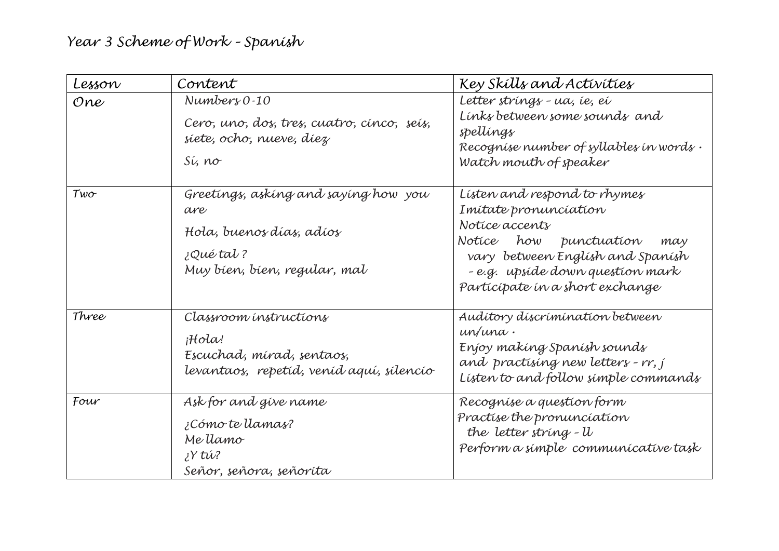| Lesson     | Content                                                                                                               | Key Skílls and Activities                                                                                                                                                                                           |
|------------|-----------------------------------------------------------------------------------------------------------------------|---------------------------------------------------------------------------------------------------------------------------------------------------------------------------------------------------------------------|
| One        | $Number 80-10$<br>Cero, uno, dos, tres, cuatro, cínco, seis,<br>siete, ocho, nueve, diez<br>Sí, no                    | Letter strings - ua, ie, ei<br>Links between some sounds and<br>spellings<br>Recognise number of syllables in words.<br>Watch mouth of speaker                                                                      |
| $Tw\sigma$ | Greetings, asking and saying how you<br>are<br>Hola, buenos días, adíos<br>¿Qué tal ?<br>Muy bíen, bíen, regular, mal | Listen and respond to rhymes<br>Imitate pronunciation<br>Notice accents<br>Notice how punctuation<br>may<br>vary between English and Spanish<br>- e.g. upsíde down question mark<br>Participate in a short exchange |
| Three      | Classroom instructions<br>iHola!<br>Escuchad, mirad, sentaos,<br>levantaoz, repetid, veníd aguí, sílencío             | Auditory discrimination between<br>un/una.<br>Enjoy making Spanish sounds<br>and practising new letters - rr, j<br>Listen to and follow simple commands                                                             |
| Four       | Ask for and give name<br>¿Cómo te llamas?<br>Me llamo<br>¿Y tŵ?<br>Señor, señora, señoríta                            | Recognise a question form<br>Practise the pronunciation<br>the letter string - U<br>Perform a simple communicative task                                                                                             |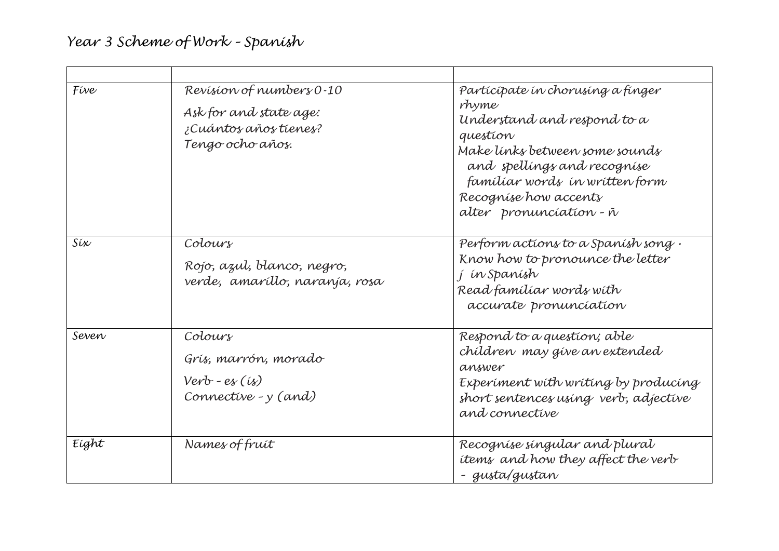| Five  | Revision of numbers 0-10<br>Ask for and state age:<br>¿Cuántos años tienes?<br>Tengo ocho años. | Participate in chorusing a finger<br>rhyme<br>Understand and respond to a<br>question<br>Make links between some sounds<br>and spellings and recognise<br>famíliar words in written form<br>Recognise how accents<br>alter pronunciation - ñ |
|-------|-------------------------------------------------------------------------------------------------|----------------------------------------------------------------------------------------------------------------------------------------------------------------------------------------------------------------------------------------------|
| Síx   | Colours<br>Rojo, azul, blanco, negro,<br>verde, amaríllo, naranja, rosa                         | Perform actions to a Spanish song.<br>Know how to pronounce the letter<br>j ín Spanísh<br>Read familiar words with<br>accurate pronunciation                                                                                                 |
| Seven | Colours<br>Grís, marrón, morado<br>$Verb - es (is)$<br>Connective - y (and)                     | Respond to a question; able<br>chíldren may give an extended<br>answer<br>Experiment with writing by producing<br>short sentences using verb, adjective<br>and connective                                                                    |
| Eight | Names of fruit                                                                                  | Recognise singular and plural<br>items and how they affect the verb<br>- gusta/gustan                                                                                                                                                        |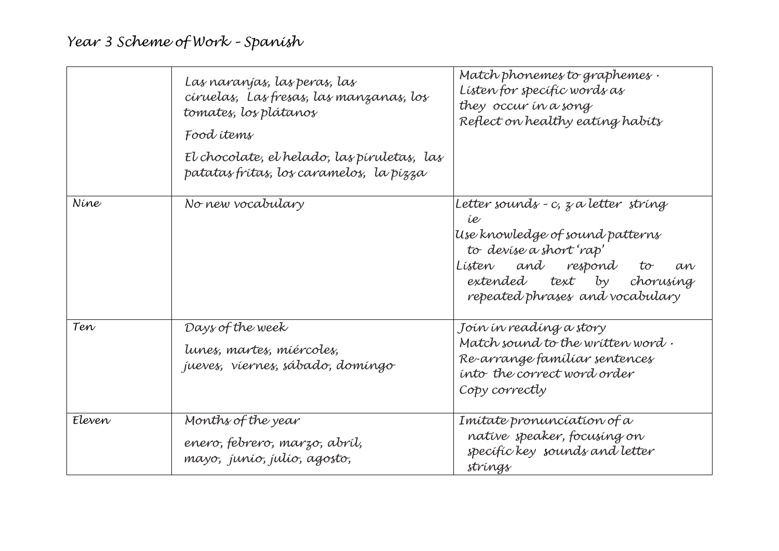|        | Las naranjas, las peras, las<br>círuelas, Las fresas, las manzanas, los<br>tomates, los plátanos<br>Food items<br>El chocolate, el helado, las píruletas, las<br>patatas fritas, los caramelos, la pizza | Match phonemes to graphemes.<br>Listen for specific words as<br>they occur in a song<br>Reflect on healthy eating habits                                                                                    |
|--------|----------------------------------------------------------------------------------------------------------------------------------------------------------------------------------------------------------|-------------------------------------------------------------------------------------------------------------------------------------------------------------------------------------------------------------|
| Níne   | No new vocabulary                                                                                                                                                                                        | Letter sounds - c, z a letter string<br>íe<br>Use knowledge of sound patterns<br>to devise a short 'rap'<br>Lísten and respond<br>to<br>an<br>extended text by chorusing<br>repeated phrases and vocabulary |
| Ten    | Days of the week<br>lunes, martes, miércoles,<br>jueves, viernes, sábado, domingo                                                                                                                        | Joín ín readíng a story<br>Match sound to the written word.<br>Re-arrange familiar sentences<br>into the correct word order<br>Copy correctly                                                               |
| Eleven | Months of the year<br>enero, febrero, marzo, abríl,<br>mayo, junio, julio, agosto,                                                                                                                       | Imítate pronunciation of a<br>native speaker, focusing on<br>specific key sounds and letter<br>strings                                                                                                      |